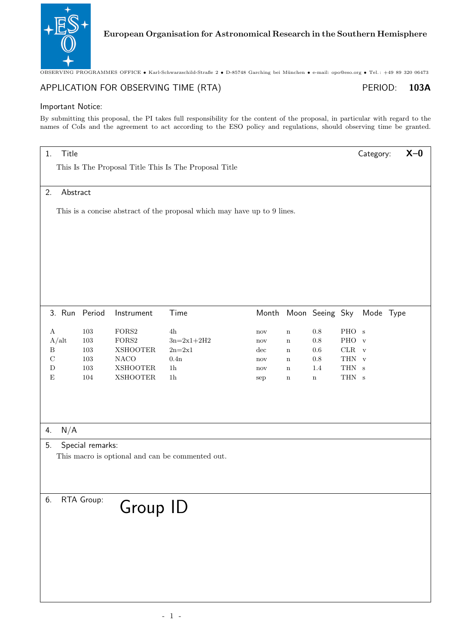

OBSERVING PROGRAMMES OFFICE • Karl-Schwarzschild-Straße 2 • D-85748 Garching bei München • e-mail: opo@eso.org • Tel.: +49 89 320 06473

# APPLICATION FOR OBSERVING TIME (RTA) PERIOD: 103A

## Important Notice:

By submitting this proposal, the PI takes full responsibility for the content of the proposal, in particular with regard to the names of CoIs and the agreement to act according to the ESO policy and regulations, should observing time be granted.

# 1. Title **X–0**

This Is The Proposal Title This Is The Proposal Title

#### 2. Abstract

This is a concise abstract of the proposal which may have up to 9 lines.

| 3. Run Period |     | Instrument      | Time           | Month Moon Seeing Sky |             |     |         | Mode Type |  |
|---------------|-----|-----------------|----------------|-----------------------|-------------|-----|---------|-----------|--|
| А             | 103 | FORS2           | 4h             | nov                   | n           | 0.8 | PHO s   |           |  |
| A/alt         | 103 | FORS2           | $3n=2x1+2H2$   | nov                   | n           | 0.8 | PHO v   |           |  |
| B             | 103 | <b>XSHOOTER</b> | $2n=2x1$       | $\mathrm{dec}$        | n           | 0.6 | $CLR$ v |           |  |
| C             | 103 | <b>NACO</b>     | 0.4n           | nov                   | n           | 0.8 | THN v   |           |  |
| D             | 103 | <b>XSHOOTER</b> | 1 <sub>h</sub> | nov                   | n           | 1.4 | THN s   |           |  |
| Ε             | 104 | <b>XSHOOTER</b> | 1 <sub>h</sub> | sep                   | $\mathbf n$ | n   | THN s   |           |  |
|               |     |                 |                |                       |             |     |         |           |  |

4. N/A

## 5. Special remarks:

This macro is optional and can be commented out.

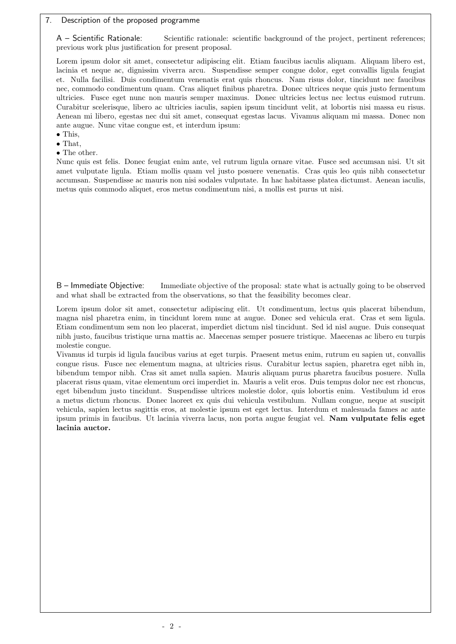# 7. Description of the proposed programme

A – Scientific Rationale: Scientific rationale: scientific background of the project, pertinent references; previous work plus justification for present proposal.

Lorem ipsum dolor sit amet, consectetur adipiscing elit. Etiam faucibus iaculis aliquam. Aliquam libero est, lacinia et neque ac, dignissim viverra arcu. Suspendisse semper congue dolor, eget convallis ligula feugiat et. Nulla facilisi. Duis condimentum venenatis erat quis rhoncus. Nam risus dolor, tincidunt nec faucibus nec, commodo condimentum quam. Cras aliquet finibus pharetra. Donec ultrices neque quis justo fermentum ultricies. Fusce eget nunc non mauris semper maximus. Donec ultricies lectus nec lectus euismod rutrum. Curabitur scelerisque, libero ac ultricies iaculis, sapien ipsum tincidunt velit, at lobortis nisi massa eu risus. Aenean mi libero, egestas nec dui sit amet, consequat egestas lacus. Vivamus aliquam mi massa. Donec non ante augue. Nunc vitae congue est, et interdum ipsum:

- This,
- That,
- The other.

Nunc quis est felis. Donec feugiat enim ante, vel rutrum ligula ornare vitae. Fusce sed accumsan nisi. Ut sit amet vulputate ligula. Etiam mollis quam vel justo posuere venenatis. Cras quis leo quis nibh consectetur accumsan. Suspendisse ac mauris non nisi sodales vulputate. In hac habitasse platea dictumst. Aenean iaculis, metus quis commodo aliquet, eros metus condimentum nisi, a mollis est purus ut nisi.

B – Immediate Objective: Immediate objective of the proposal: state what is actually going to be observed and what shall be extracted from the observations, so that the feasibility becomes clear.

Lorem ipsum dolor sit amet, consectetur adipiscing elit. Ut condimentum, lectus quis placerat bibendum, magna nisl pharetra enim, in tincidunt lorem nunc at augue. Donec sed vehicula erat. Cras et sem ligula. Etiam condimentum sem non leo placerat, imperdiet dictum nisl tincidunt. Sed id nisl augue. Duis consequat nibh justo, faucibus tristique urna mattis ac. Maecenas semper posuere tristique. Maecenas ac libero eu turpis molestie congue.

Vivamus id turpis id ligula faucibus varius at eget turpis. Praesent metus enim, rutrum eu sapien ut, convallis congue risus. Fusce nec elementum magna, at ultricies risus. Curabitur lectus sapien, pharetra eget nibh in, bibendum tempor nibh. Cras sit amet nulla sapien. Mauris aliquam purus pharetra faucibus posuere. Nulla placerat risus quam, vitae elementum orci imperdiet in. Mauris a velit eros. Duis tempus dolor nec est rhoncus, eget bibendum justo tincidunt. Suspendisse ultrices molestie dolor, quis lobortis enim. Vestibulum id eros a metus dictum rhoncus. Donec laoreet ex quis dui vehicula vestibulum. Nullam congue, neque at suscipit vehicula, sapien lectus sagittis eros, at molestie ipsum est eget lectus. Interdum et malesuada fames ac ante ipsum primis in faucibus. Ut lacinia viverra lacus, non porta augue feugiat vel. Nam vulputate felis eget lacinia auctor.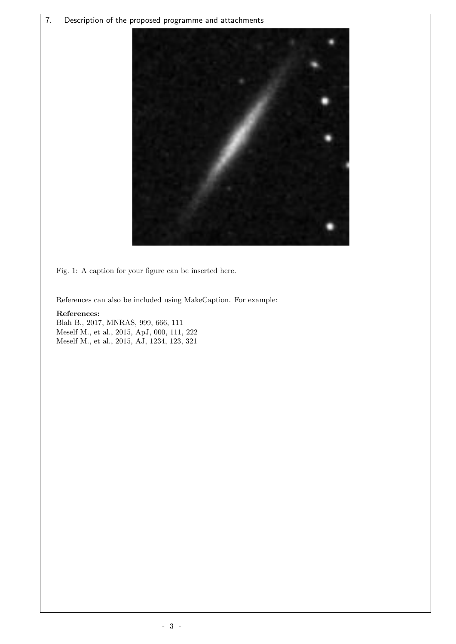7. Description of the proposed programme and attachments



Fig. 1: A caption for your figure can be inserted here.

References can also be included using MakeCaption. For example:

# References:

Blah B., 2017, MNRAS, 999, 666, 111 Meself M., et al., 2015, ApJ, 000, 111, 222 Meself M., et al., 2015, AJ, 1234, 123, 321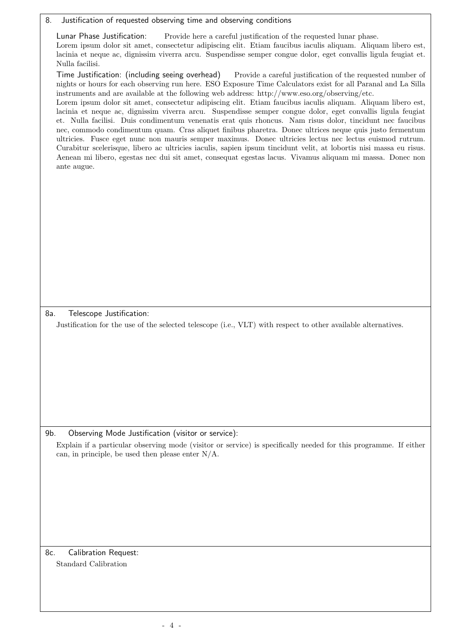| Justification of requested observing time and observing conditions<br>8.                                                                                                                                                                                                                                                                                                                                                                                                                                                                                                                                                                                                                                                                                                                                                                                                                                                                                                                                                                                                                                                                           |  |
|----------------------------------------------------------------------------------------------------------------------------------------------------------------------------------------------------------------------------------------------------------------------------------------------------------------------------------------------------------------------------------------------------------------------------------------------------------------------------------------------------------------------------------------------------------------------------------------------------------------------------------------------------------------------------------------------------------------------------------------------------------------------------------------------------------------------------------------------------------------------------------------------------------------------------------------------------------------------------------------------------------------------------------------------------------------------------------------------------------------------------------------------------|--|
| Lunar Phase Justification:<br>Provide here a careful justification of the requested lunar phase.<br>Lorem ipsum dolor sit amet, consectetur adipiscing elit. Etiam faucibus iaculis aliquam. Aliquam libero est,<br>lacinia et neque ac, dignissim viverra arcu. Suspendisse semper congue dolor, eget convallis ligula feugiat et.<br>Nulla facilisi.                                                                                                                                                                                                                                                                                                                                                                                                                                                                                                                                                                                                                                                                                                                                                                                             |  |
| Time Justification: (including seeing overhead)<br>Provide a careful justification of the requested number of<br>nights or hours for each observing run here. ESO Exposure Time Calculators exist for all Paranal and La Silla<br>instruments and are available at the following web address: http://www.eso.org/observing/etc.<br>Lorem ipsum dolor sit amet, consectetur adipiscing elit. Etiam faucibus iaculis aliquam. Aliquam libero est,<br>lacinia et neque ac, dignissim viverra arcu. Suspendisse semper congue dolor, eget convallis ligula feugiat<br>et. Nulla facilisi. Duis condimentum venenatis erat quis rhoncus. Nam risus dolor, tincidunt nec faucibus<br>nec, commodo condimentum quam. Cras aliquet finibus pharetra. Donec ultrices neque quis justo fermentum<br>ultricies. Fusce eget nunc non mauris semper maximus. Donec ultricies lectus nec lectus euismod rutrum.<br>Curabitur scelerisque, libero ac ultricies iaculis, sapien ipsum tincidunt velit, at lobortis nisi massa eu risus.<br>Aenean mi libero, egestas nec dui sit amet, consequat egestas lacus. Vivamus aliquam mi massa. Donec non<br>ante augue. |  |
|                                                                                                                                                                                                                                                                                                                                                                                                                                                                                                                                                                                                                                                                                                                                                                                                                                                                                                                                                                                                                                                                                                                                                    |  |
| Telescope Justification:<br>8a.<br>Justification for the use of the selected telescope (i.e., VLT) with respect to other available alternatives.                                                                                                                                                                                                                                                                                                                                                                                                                                                                                                                                                                                                                                                                                                                                                                                                                                                                                                                                                                                                   |  |
|                                                                                                                                                                                                                                                                                                                                                                                                                                                                                                                                                                                                                                                                                                                                                                                                                                                                                                                                                                                                                                                                                                                                                    |  |
| 9b.<br>Observing Mode Justification (visitor or service):<br>Explain if a particular observing mode (visitor or service) is specifically needed for this programme. If either<br>can, in principle, be used then please enter $N/A$ .                                                                                                                                                                                                                                                                                                                                                                                                                                                                                                                                                                                                                                                                                                                                                                                                                                                                                                              |  |
|                                                                                                                                                                                                                                                                                                                                                                                                                                                                                                                                                                                                                                                                                                                                                                                                                                                                                                                                                                                                                                                                                                                                                    |  |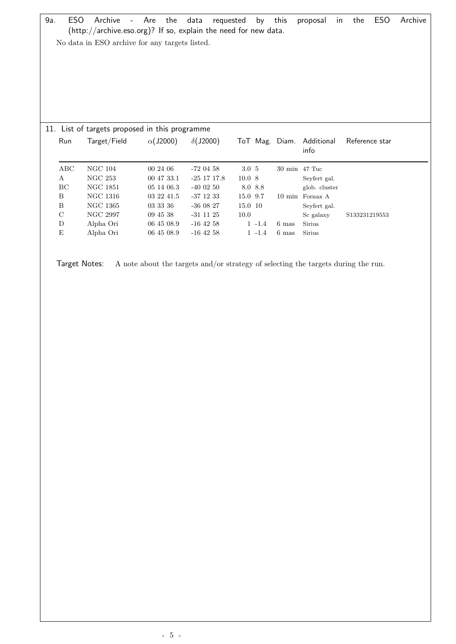9a. ESO Archive - Are the data requested by this proposal in the ESO Archive (http://archive.eso.org)? If so, explain the need for new data. No data in ESO archive for any targets listed. 11. List of targets proposed in this programme Run Target/Field  $\alpha$ (J2000)  $\delta$ (J2000) ToT Mag. Diam. Additional info Reference star ABC NGC 104 00 24 06 -72 04 58 3.0 5 30 min 47 Tuc A NGC 253 00 47 33.1 -25 17 17.8 10.0 8 Seyfert gal. BC NGC 1851 05 14 06.3 -40 02 50 8.0 8.8 glob. cluster B NGC 1316 03 22 41.5 -37 12 33 15.0 9.7 10 min Fornax A B NGC 1365 03 33 36 -36 08 27 15.0 10 Seyfert gal.  $\begin{tabular}{lllllllllll} \multicolumn{3}{c|l}c@{C} &\multicolumn{3}{c|l}c@{C} &\multicolumn{3}{c|l}c@{C} &\multicolumn{3}{c|l}c@{C} &\multicolumn{3}{c|l}c@{C} &\multicolumn{3}{c|l}c@{C} &\multicolumn{3}{c|l}c@{C} &\multicolumn{3}{c|l}c@{C} &\multicolumn{3}{c|l}c@{C} &\multicolumn{3}{c|l}c@{C} &\multicolumn{3}{c|l}c@{C} &\multicolumn{3}{c|l}c@{C} &\multic$ D Alpha Ori 06 45 08.9 -16 42 58 1 -1.4 6 mas Sirius E Alpha Ori 06 45 08.9 -16 42 58 1 -1.4 6 mas Sirius

Target Notes: A note about the targets and/or strategy of selecting the targets during the run.